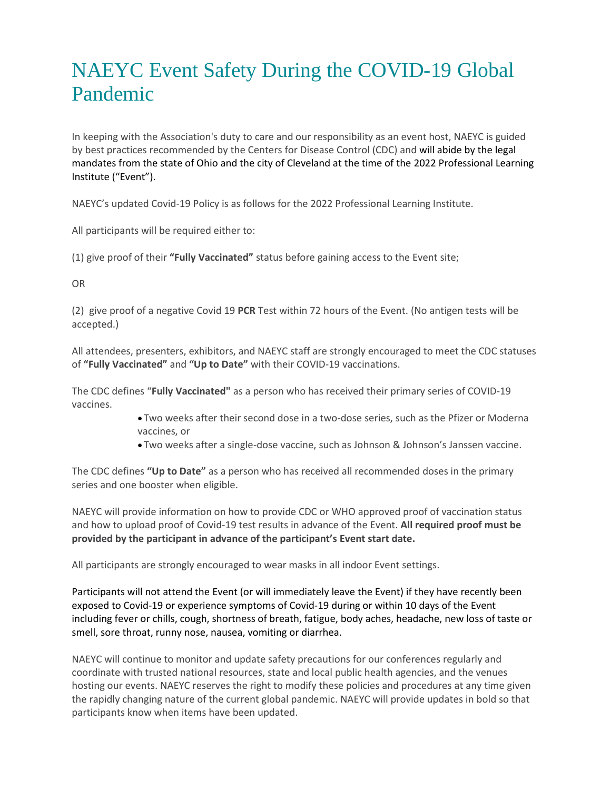## NAEYC Event Safety During the COVID-19 Global Pandemic

In keeping with the Association's duty to care and our responsibility as an event host, NAEYC is guided by best practices recommended by the Centers for Disease Control (CDC) and will abide by the legal mandates from the state of Ohio and the city of Cleveland at the time of the 2022 Professional Learning Institute ("Event").

NAEYC's updated Covid-19 Policy is as follows for the 2022 Professional Learning Institute.

All participants will be required either to:

(1) give proof of their **"Fully Vaccinated"** status before gaining access to the Event site;

OR

(2) give proof of a negative Covid 19 **PCR** Test within 72 hours of the Event. (No antigen tests will be accepted.)

All attendees, presenters, exhibitors, and NAEYC staff are strongly encouraged to meet the CDC statuses of **"Fully Vaccinated"** and **"Up to Date"** with their COVID-19 vaccinations.

The CDC defines "**Fully Vaccinated"** as a person who has received their primary series of COVID-19 vaccines.

- Two weeks after their second dose in a two-dose series, such as the Pfizer or Moderna vaccines, or
- Two weeks after a single-dose vaccine, such as Johnson & Johnson's Janssen vaccine.

The CDC defines **"Up to Date"** as a person who has received all recommended doses in the primary series and one booster when eligible.

NAEYC will provide information on how to provide CDC or WHO approved proof of vaccination status and how to upload proof of Covid-19 test results in advance of the Event. **All required proof must be provided by the participant in advance of the participant's Event start date.**

All participants are strongly encouraged to wear masks in all indoor Event settings.

Participants will not attend the Event (or will immediately leave the Event) if they have recently been exposed to Covid-19 or experience symptoms of Covid-19 during or within 10 days of the Event including fever or chills, cough, shortness of breath, fatigue, body aches, headache, new loss of taste or smell, sore throat, runny nose, nausea, vomiting or diarrhea.

NAEYC will continue to monitor and update safety precautions for our conferences regularly and coordinate with trusted national resources, state and local public health agencies, and the venues hosting our events. NAEYC reserves the right to modify these policies and procedures at any time given the rapidly changing nature of the current global pandemic. NAEYC will provide updates in bold so that participants know when items have been updated.